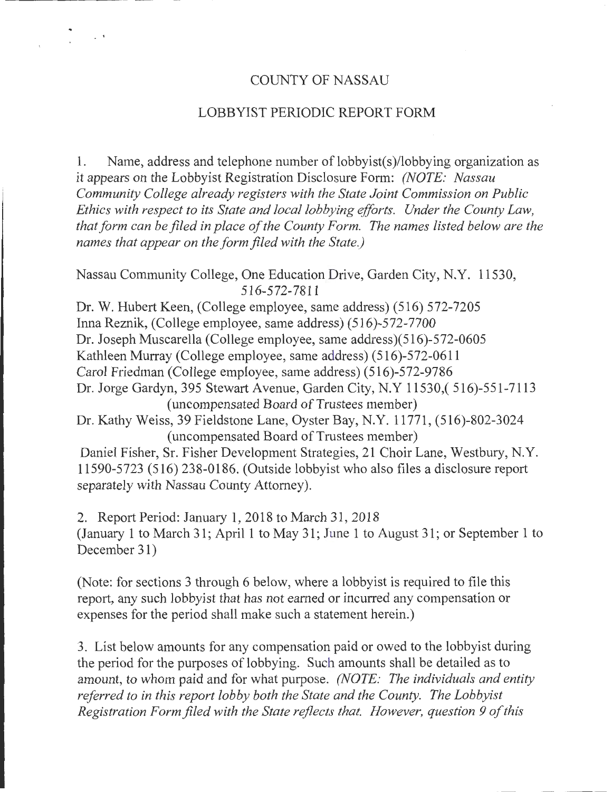#### COUNTY OF NASSAU

 $\sim$   $\sim$ 

#### LOBBYIST PERIODIC REPORT FORM

1. Name, address and telephone number of lobbyist(s)/lobbying organization as it appears on the Lobbyist Registration Disclosure Form: *(NOTE: Nassau Community College already registers with the State Joint Commission on Public Ethics with respect to its State and local lobbying efforts. Under the County Law, that form can be filed in place of the County Form. The names listed below are the names that appear on the form filed with the State.)* 

Nassau Community College, One Education Drive, Garden City, N.Y. 11530, 516-572-7811

Dr. W. Hubert Keen, (College employee, same address) (5 16) 572-7205 Inna Reznik, (College employee, same address) (516)-572-7700 Dr. Joseph Muscarella (College employee, same address)(516)-572-0605 Kathleen Murray (College employee, same address) (516)-572-0611 Carol Friedman (College employee, same address) (516)-572-9786 Dr. Jorge Gardyn, 395 Stewart Avenue, Garden City, N.Y 11530,( 516)-551-7113 (uncompensated Board of Trustees member) Dr. Kathy Weiss, 39 Fieldstone Lane, Oyster Bay, N.Y. 11771, (516)-802-3024 (uncompensated Board of Trustees member) Daniel Fisher, Sr. Fisher Development Strategies, 21 Choir Lane, Westbury, N.Y.

11590-5723 (516) 238-0186. (Outside lobbyist who also files a disclosure report separately with Nassau County Attorney).

2. Report Period: January 1, 2018 to March 31, 2018 (January 1 to March 31; April1 to May 31; June 1 to August 31; or September 1 to December 31)

(Note: for sections 3 through 6 below, where a lobbyist is required to file this report, any such lobbyist that has not earned or incurred any compensation or expenses for the period shall make such a statement herein.)

3. List below amounts for any compensation paid or owed to the lobbyist during the period for the purposes of lobbying. Such amounts shall be detailed as to amount, to whom paid and for what purpose. *(NOTE: The individuals and entity referred to in this report lobby both the State and the County. The Lobbyist Registration Form filed with the State reflects that. However, question 9 of this*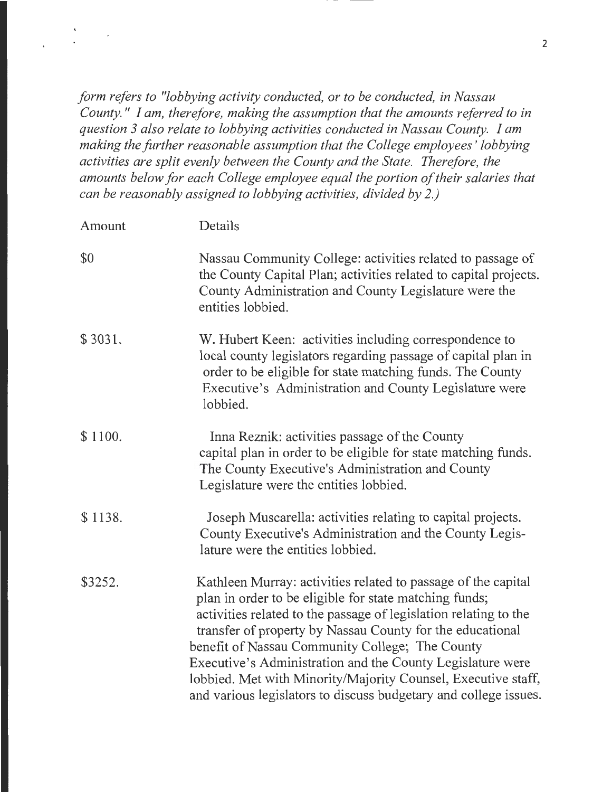*form refers to "lobbying activity conducted, or to be conducted, in Nassau County.* " *I am, therefore, making the assumption that the amounts referred to in question 3 also relate to lobbying activities conducted in Nassau County. I am making the further reasonable assumption that the College employees' lobbying activities are split evenly between the County and the State. Therefore, the amounts below for each College employee equal the portion of their salaries that can be reasonably assigned to lobbying activities, divided by 2.)* 

| Amount  | Details                                                                                                                                                                                                                                                                                                                                                                                                                                                                                                        |
|---------|----------------------------------------------------------------------------------------------------------------------------------------------------------------------------------------------------------------------------------------------------------------------------------------------------------------------------------------------------------------------------------------------------------------------------------------------------------------------------------------------------------------|
| \$0     | Nassau Community College: activities related to passage of<br>the County Capital Plan; activities related to capital projects.<br>County Administration and County Legislature were the<br>entities lobbied.                                                                                                                                                                                                                                                                                                   |
| \$3031. | W. Hubert Keen: activities including correspondence to<br>local county legislators regarding passage of capital plan in<br>order to be eligible for state matching funds. The County<br>Executive's Administration and County Legislature were<br>lobbied.                                                                                                                                                                                                                                                     |
| \$1100. | Inna Reznik: activities passage of the County<br>capital plan in order to be eligible for state matching funds.<br>The County Executive's Administration and County<br>Legislature were the entities lobbied.                                                                                                                                                                                                                                                                                                  |
| \$1138. | Joseph Muscarella: activities relating to capital projects.<br>County Executive's Administration and the County Legis-<br>lature were the entities lobbied.                                                                                                                                                                                                                                                                                                                                                    |
| \$3252. | Kathleen Murray: activities related to passage of the capital<br>plan in order to be eligible for state matching funds;<br>activities related to the passage of legislation relating to the<br>transfer of property by Nassau County for the educational<br>benefit of Nassau Community College; The County<br>Executive's Administration and the County Legislature were<br>lobbied. Met with Minority/Majority Counsel, Executive staff,<br>and various legislators to discuss budgetary and college issues. |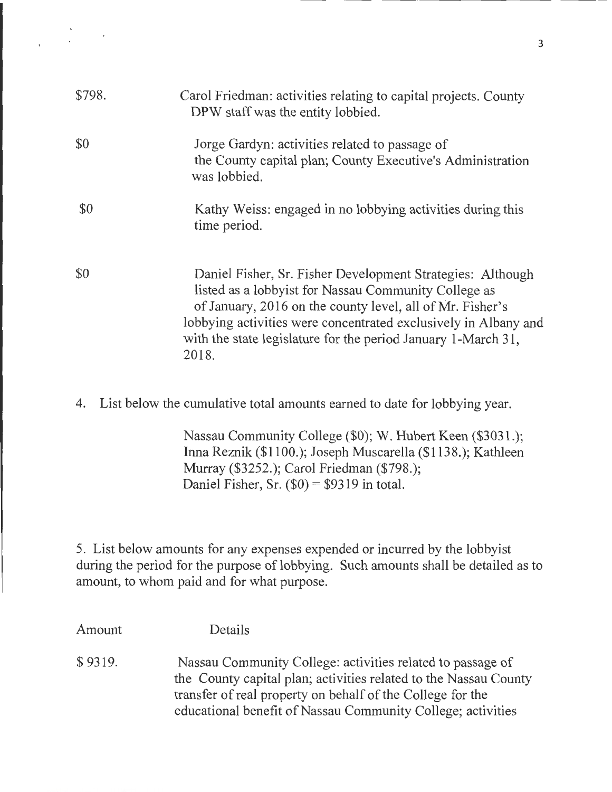| \$798. | Carol Friedman: activities relating to capital projects. County<br>DPW staff was the entity lobbied.                                                                                                                                                                                                                         |
|--------|------------------------------------------------------------------------------------------------------------------------------------------------------------------------------------------------------------------------------------------------------------------------------------------------------------------------------|
| \$0    | Jorge Gardyn: activities related to passage of<br>the County capital plan; County Executive's Administration<br>was lobbied.                                                                                                                                                                                                 |
| \$0    | Kathy Weiss: engaged in no lobbying activities during this<br>time period.                                                                                                                                                                                                                                                   |
| \$0    | Daniel Fisher, Sr. Fisher Development Strategies: Although<br>listed as a lobbyist for Nassau Community College as<br>of January, 2016 on the county level, all of Mr. Fisher's<br>lobbying activities were concentrated exclusively in Albany and<br>with the state legislature for the period January 1-March 31,<br>2018. |

 $\sim 10^{11}$  km

4. List below the cumulative total amounts earned to date for lobbying year.

Nassau Community College (\$0); W. Hubert Keen (\$3031.); Irma Reznik (\$1100.); Joseph Muscarella (\$1138.); Kathleen Murray (\$3252.); Carol Friedman (\$798.); Daniel Fisher, Sr.  $(\$0) = \$9319$  in total.

5. List below amounts for any expenses expended or incurred by the lobbyist during the period for the purpose of lobbying. Such amounts shall be detailed as to amount, to whom paid and for what purpose.

Amount \$ 9319. Details Nassau Community College: activities related to passage of the County capital plan; activities related to the Nassau County transfer of real property on behalf of the College for the educational benefit of Nassau Community College; activities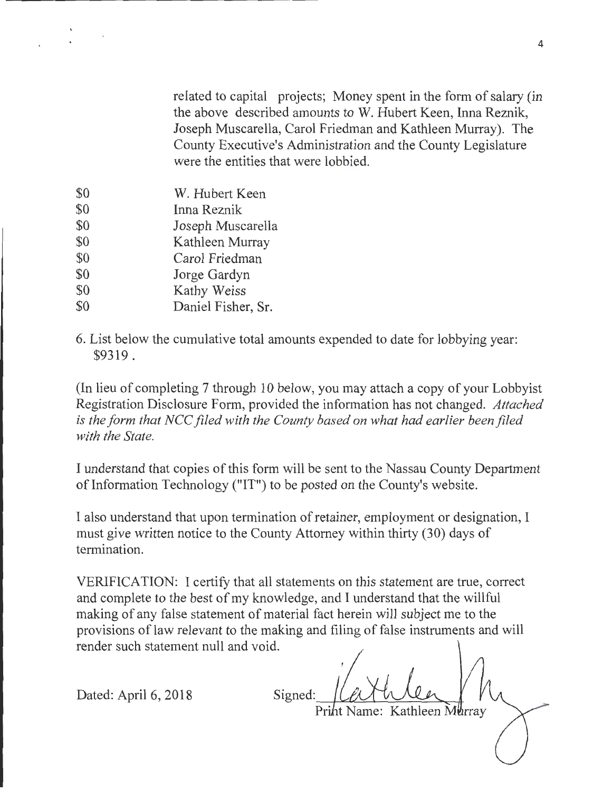related to capital projects; Money spent in the form of salary (in the above described amounts to W. Hubert Keen, Inna Reznik, Joseph Muscarella, Carol Friedman and Kathleen Murray). The County Executive's Administration and the County Legislature were the entities that were lobbied.

- \$0 \$0 \$0 \$0 \$0 \$0 \$0 \$0 W. Hubert Keen Inna Reznik Joseph Muscarella Kathleen Murray Carol Friedman Jorge Gardyn Kathy Weiss Daniel Fisher, Sr.
- 6. List below the cumulative total amounts expended to date for lobbying year: \$9319.

(In lieu of completing 7 through 10 below, you may attach a copy of your Lobbyist Registration Disclosure Form, provided the information has not changed. *Attached is the form that NCC filed with the County based on what had earlier been filed with the State.* 

I understand that copies of this form will be sent to the Nassau County Department of Information Technology ("IT") to be posted on the County's website.

I also understand that upon termination of retainer, employment or designation, I must give written notice to the County Attorney within thirty (30) days of termination.

VERIFICATION: I certify that all statements on this statement are true, correct and complete to the best of my knowledge, and I understand that the willful making of any false statement of material fact herein will subject me to the provisions of law relevant to the making and filing of false instruments and will render such statement null and void.

Dated: April 6, 2018

Signed Print Name: Kathleen Murray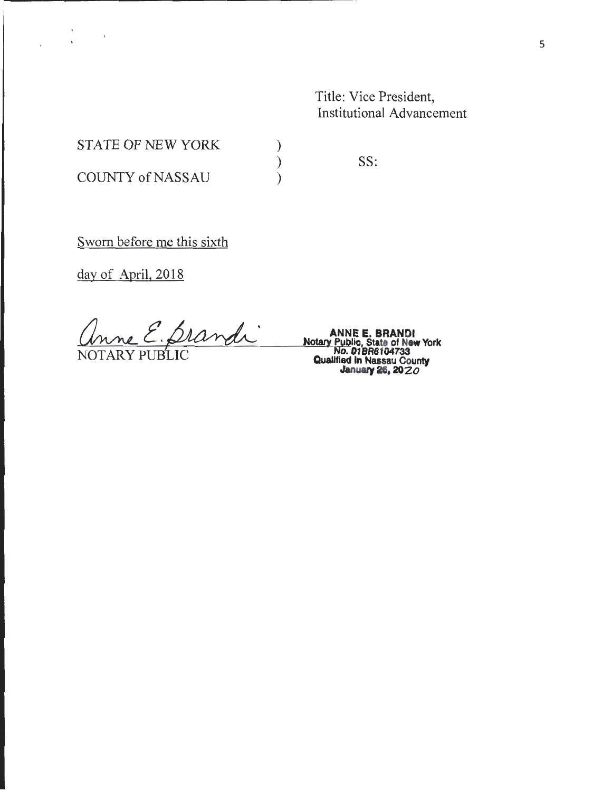Title: Vice President, Institutional Advancement

STATE OF NEW YORK COUNTY of NASSAU

SS:

) ) )

Sworn before me this sixth

day of April, 2018

 $\sim 10^{-11}$   $\rm{K}$ 

 $'$  ano E. Brandi <u>Imme E. Diandi</u><br>Motary Public, State of New York<br>NOTARY PUBLIC Qualified In Nassau County<br>January 28. 2020

January 26, 2020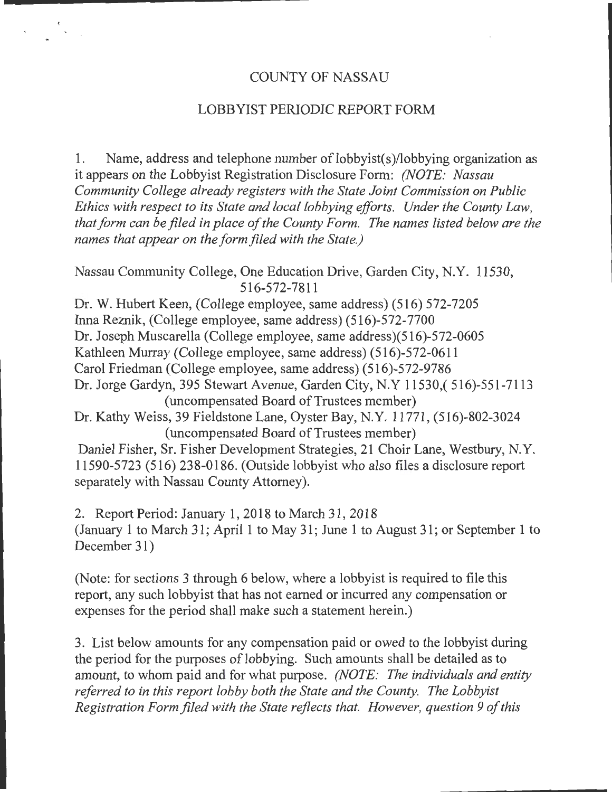#### COUNTY OF NASSAU

#### LOBBYIST PERIODIC REPORT FORM

1. Name, address and telephone number of lobbyist(s)/lobbying organization as it appears on the Lobbyist Registration Disclosure Form: *(NOTE: Nassau Community College already registers with the State Joint Commission on Public Ethics with respect to its State and local lobbying efforts. Under the County Law, that form can be filed in place of the County Form. The names listed below are the names that appear on the form filed with the State.)* 

Nassau Community College, One Education Drive, Garden City, N.Y. 11530, 516-572-7811

Dr. W. Hubert Keen, (College employee, same address) (516) 572-7205 Inna Reznik, (College employee, same address) (516)-572-7700 Dr. Joseph Muscarella (College employee, same address)(516)-572-0605 Kathleen Murray (College employee, same address) (516)-572-0611 Carol Friedman (College employee, same address) (516)-572-9786 Dr. Jorge Gardyn, 395 Stewart Avenue, Garden City, N.Y 11530,( 516)-551-7113 (uncompensated Board of Trustees member) Dr. Kathy Weiss, 39 Fieldstone Lane, Oyster Bay, N.Y. 11771, (516)-802-3024 (uncompensated Board of Trustees member) Daniel Fisher, Sr. Fisher Development Strategies, 21 Choir Lane, Westbury, N.Y. 11590-5723 (516) 238-0186. (Outside lobbyist who also files a disclosure report

separately with Nassau County Attorney).

2. Report Period: January 1, 2018 to March 31, 2018 (January 1 to March 31; April 1 to May 31; June 1 to August 31; or September 1 to December 31)

(Note: for sections 3 through 6 below, where a lobbyist is required to file this report, any such lobbyist that has not earned or incurred any compensation or expenses for the period shall make such a statement herein.)

3. List below amounts for any compensation paid or owed to the lobbyist during the period for the purposes of lobbying. Such amounts shall be detailed as to amount, to whom paid and for what purpose. *(NOTE: The individuals and entity referred to in this report lobby both the State and the County. The Lobbyist Registration Form filed with the State reflects that. However, question 9 of this*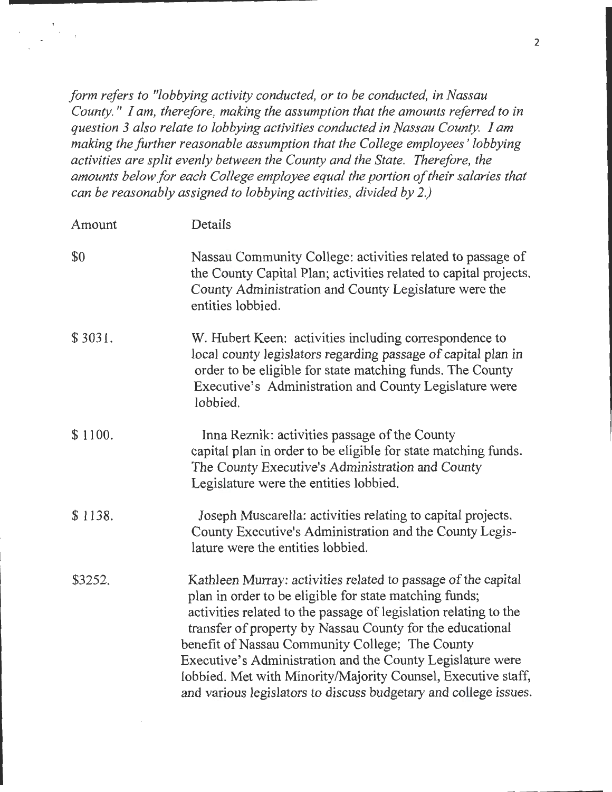*form refers to "lobbying activity conducted, or to be conducted, in Nassau County.* " *I am, therefore, making the assumption that the amounts referred to in question 3 also relate to lobbying activities conducted in Nassau County. I am making the further reasonable assumption that the College employees* ' *lobbying activities are split evenly between the County and the State. Therefore, the amounts below for each College employee equal the portion of their salaries that can be reasonably assigned to lobbying activities, divided by 2.)* 

| Amount  | Details                                                                                                                                                                                                                                                                                                                                                                                                                                                                                                        |
|---------|----------------------------------------------------------------------------------------------------------------------------------------------------------------------------------------------------------------------------------------------------------------------------------------------------------------------------------------------------------------------------------------------------------------------------------------------------------------------------------------------------------------|
| \$0     | Nassau Community College: activities related to passage of<br>the County Capital Plan; activities related to capital projects.<br>County Administration and County Legislature were the<br>entities lobbied.                                                                                                                                                                                                                                                                                                   |
| \$3031. | W. Hubert Keen: activities including correspondence to<br>local county legislators regarding passage of capital plan in<br>order to be eligible for state matching funds. The County<br>Executive's Administration and County Legislature were<br>lobbied.                                                                                                                                                                                                                                                     |
| \$1100. | Inna Reznik: activities passage of the County<br>capital plan in order to be eligible for state matching funds.<br>The County Executive's Administration and County<br>Legislature were the entities lobbied.                                                                                                                                                                                                                                                                                                  |
| \$1138. | Joseph Muscarella: activities relating to capital projects.<br>County Executive's Administration and the County Legis-<br>lature were the entities lobbied.                                                                                                                                                                                                                                                                                                                                                    |
| \$3252. | Kathleen Murray: activities related to passage of the capital<br>plan in order to be eligible for state matching funds;<br>activities related to the passage of legislation relating to the<br>transfer of property by Nassau County for the educational<br>benefit of Nassau Community College; The County<br>Executive's Administration and the County Legislature were<br>lobbied. Met with Minority/Majority Counsel, Executive staff,<br>and various legislators to discuss budgetary and college issues. |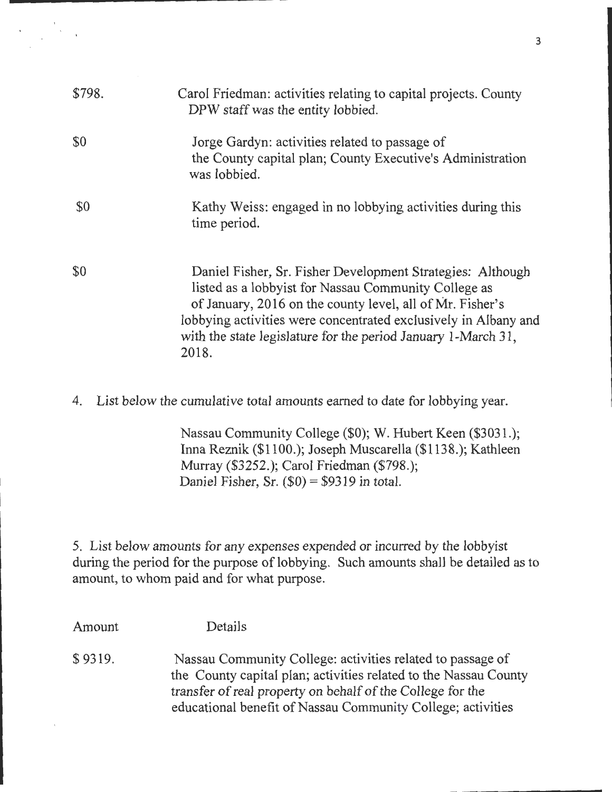| \$798. | Carol Friedman: activities relating to capital projects. County<br>DPW staff was the entity lobbied.                                                                                                                                                                                                                         |
|--------|------------------------------------------------------------------------------------------------------------------------------------------------------------------------------------------------------------------------------------------------------------------------------------------------------------------------------|
| \$0    | Jorge Gardyn: activities related to passage of<br>the County capital plan; County Executive's Administration<br>was lobbied.                                                                                                                                                                                                 |
| \$0    | Kathy Weiss: engaged in no lobbying activities during this<br>time period.                                                                                                                                                                                                                                                   |
| \$0    | Daniel Fisher, Sr. Fisher Development Strategies: Although<br>listed as a lobbyist for Nassau Community College as<br>of January, 2016 on the county level, all of Mr. Fisher's<br>lobbying activities were concentrated exclusively in Albany and<br>with the state legislature for the period January 1-March 31,<br>2018. |

4. List below the cumulative total amounts earned to date for lobbying year.

Nassau Community College (\$0); W. Hubert Keen (\$3031.); Inna Reznik (\$1100.); Joseph Muscarella (\$1138.); Kathleen Murray (\$3252.); Carol Friedman (\$798.); Daniel Fisher, Sr.  $(\$0) = \$9319$  in total.

5. List below amounts for any expenses expended or incurred by the lobbyist during the period for the purpose of lobbying. Such amounts shall be detailed as to amount, to whom paid and for what purpose.

Amount \$ 9319. Details Nassau Community College: activities related to passage of the County capital plan; activities related to the Nassau County transfer of real property on behalf of the College for the educational benefit of Nassau Community College; activities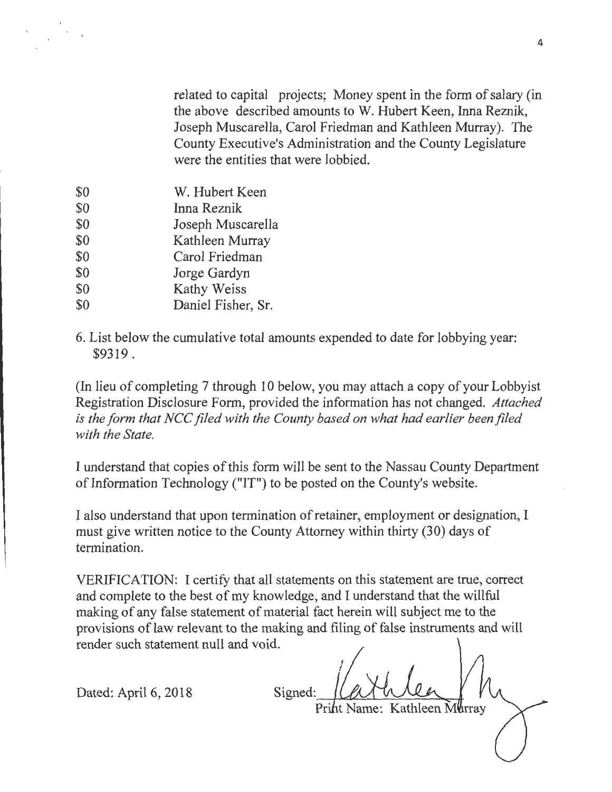related to capital projects; Money spent in the form of salary (in the above described amounts to W. Hubert Keen, Inna Reznik, Joseph Muscarella, Carol Friedman and Kathleen Murray). The County Executive's Administration and the County Legislature were the entities that were lobbied.

- \$0 \$0 \$0 \$0 \$0 \$0 \$0 \$0 W. Hubert Keen Inna Reznik Joseph Muscarella Kathleen Murray Carol Friedman Jorge Gardyn Kathy Weiss Daniel Fisher, Sr.
- 6. List below the cumulative total amounts expended to date for lobbying year: \$9319.

(In lieu of completing 7 through 10 below, you may attach a copy of your Lobbyist Registration Disclosure Form, provided the information has not changed. *Attached is the form that NCC filed with the County based on what had earlier been filed with the State.* 

I understand that copies of this form will be sent to the Nassau County Department of Information Technology ("IT") to be posted on the County's website.

I also understand that upon termination of retainer, employment or designation, I must give written notice to the County Attorney within thirty (30) days of termination.

VERIFICATION: I certify that all statements on this statement are true, correct and complete to the best of my knowledge, and I understand that the willful making of any false statement of material fact herein will subject me to the provisions of law relevant to the making and filing of false instruments and will render such statement null and void.

Dated: April 6, 2018

Signed:

Priht Name: Kathleen Mürrav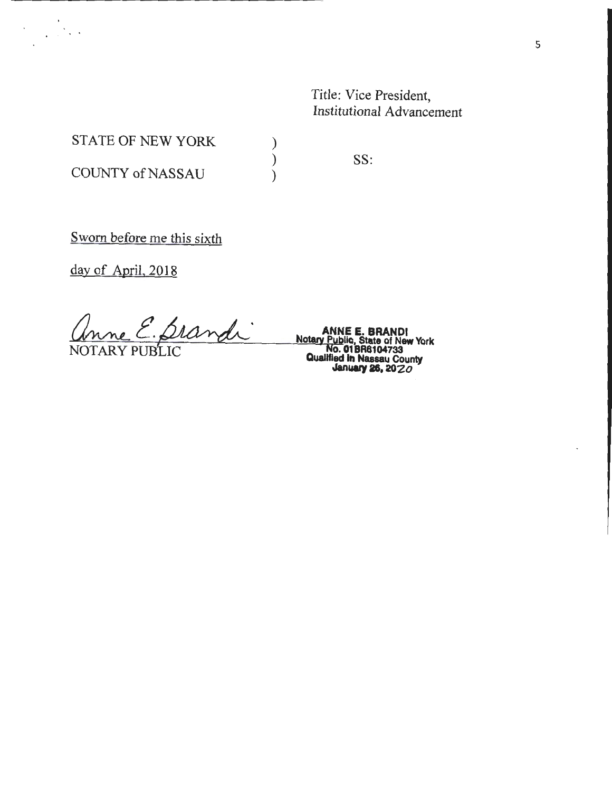Title: Vice President, Institutional Advancement

STATE OF NEW YORK

COUNTY of NASSAU

SS:

) ) )

Sworn before me this sixth

day of April, 2018

Grand ANNEE. BRANDI (*ANNE E. BRANDI*<br>Motary <u>Public, State</u> of New York

**NOTARY PUBLIC CONSUMITION CONSUMITION IN ALSO AT A REAL PROPERTY PUBLIC COUNTY January Public, State of New York<br>
No. 01 BR6104733<br>
Qualified in Nassau County<br>
January 26, 20 ZO**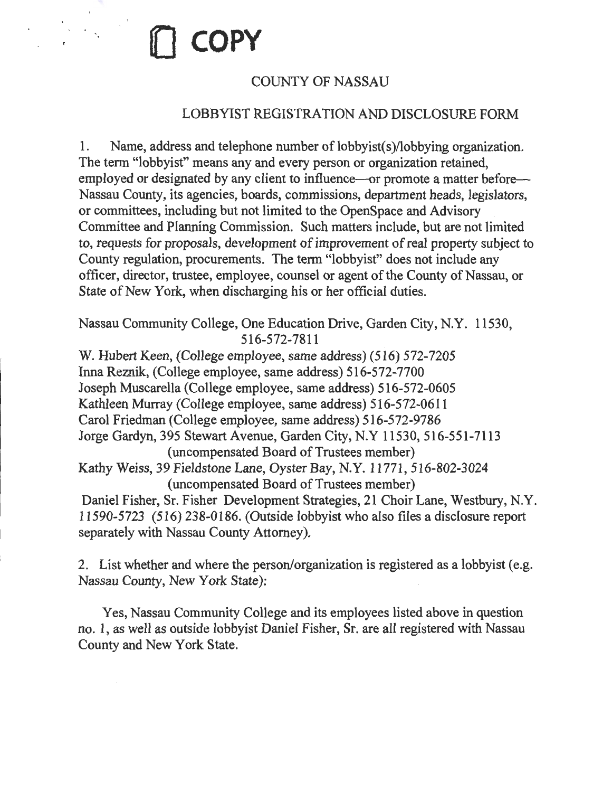# , **l[J COPY**

# COUNTY OF NASSAU

# LOBBYIST REGISTRATION AND DISCLOSURE FORM

1. Name, address and telephone number of lobbyist(s)/lobbying organization. The term "lobbyist" means any and every person or organization retained, employed or designated by any client to influence—or promote a matter before— Nassau County, its agencies, boards, commissions, department heads, legislators, or committees, including but not limited to the OpenSpace and Advisory Committee and Planning Commission. Such matters include, but are not limited to, requests for proposals, development of improvement of real property subject to County regulation, procurements. The term "lobbyist" does not include any officer, director, trustee, employee, counsel or agent of the County of Nassau, or State of New York, when discharging his or her official duties.

Nassau Community College, One Education Drive, Garden City, N.Y. 11530, 516-572-7811

W. Hubert Keen, (College employee, same address) (516) 572-7205 Inna Reznik, (College employee, same address) 516-572-7700 Joseph Muscarella (College employee, same address) 516-572-0605 Kathleen Murray (College employee, same address) 516-572-0611 Carol Friedman (College employee, same address) 516-572-9786 Jorge Gardyn, 395 Stewart Avenue, Garden City, N.Y 11530, 516-551-7113 (uncompensated Board of Trustees member) Kathy Weiss, 39 Fieldstone Lane, Oyster Bay, N.Y. 11771, 516-802-3024 (uncompensated Board of Trustees member) Daniel Fisher, Sr. Fisher Development Strategies, 21 Choir Lane, Westbury, N.Y. 11590-5723 (516) 238-0186. (Outside lobbyist who also files a disclosure report separately with Nassau County Attorney).

2. List whether and where the person/organization is registered as a lobbyist (e.g. Nassau County, New York State):

Yes, Nassau Community College and its employees listed above in question no. 1, as well as outside lobbyist Daniel Fisher, Sr. are all registered with Nassau County and New York State.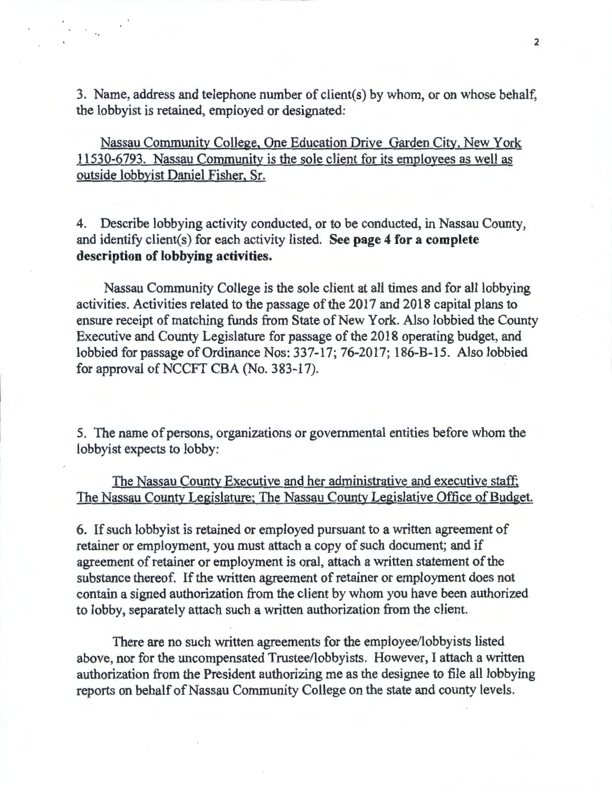3. Name, address and telephone number of client( s) by whom, or on whose behalf, the lobbyist is retained, employed or designated:

•

Nassau Community College, One Education Drive Garden City, New York 11530-6793. Nassau Community is the sole client for its employees as well as outside lobbyist Daniel Fisher, Sr.

4. Describe lobbying activity conducted, or to be conducted, in Nassau County, and identify client(s) for each activity listed. See page 4 for a complete description of lobbying activities.

Nassau Community College is the sole client at all times and for all lobbying activities. Activities related to the passage of the 2017 and 2018 capital plans to ensure receipt of matching funds from State of New York. Also lobbied the County Executive and County Legislature for passage of the 2018 operating budget, and lobbied for passage of Ordinance Nos: 337-17; 76-2017; 186-B-15. Also lobbied for approval of NCCFT CBA (No. 383-17).

5. The name of persons, organizations or governmental entities before whom the lobbyist expects to lobby:

## The Nassau County Executive and her administrative and executive staff; The Nassau County Legislature; The Nassau County Legislative Office of Budget.

6. If such lobbyist is retained or employed pursuant to a written agreement of retainer or employment, you must attach a copy of such document; and if agreement of retainer or employment is oral, attach a written statement of the substance thereof. If the written agreement of retainer or employment does not contain a signed authorization from the client by whom you have been authorized to lobby, separately attach such a written authorization from the client.

There are no such written agreements for the employee/lobbyists listed above, nor for the uncompensated Trustee/lobbyists. However, I attach a written authorization from the President authorizing me as the designee to file all lobbying reports on behalf of Nassau Community College on the state and county levels.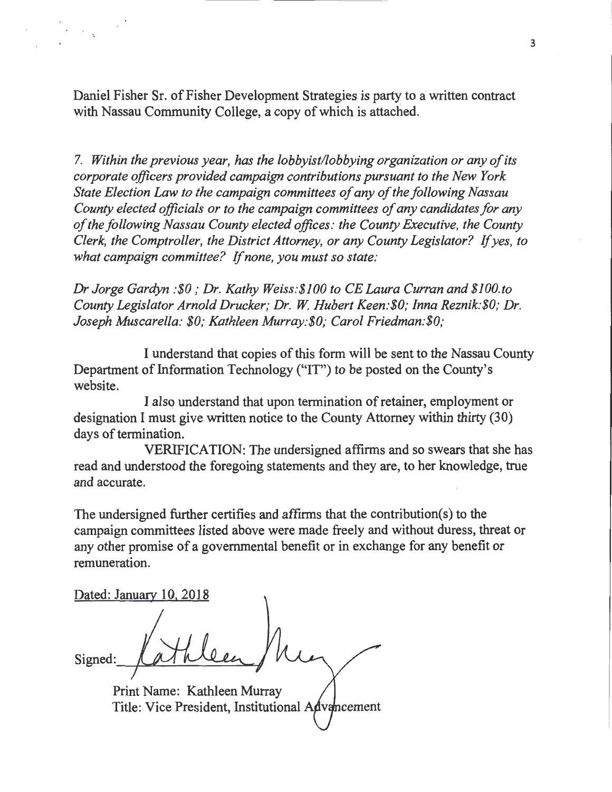Daniel Fisher Sr. of Fisher Development Strategies is party to a written contract with Nassau Community College, a copy of which is attached.

7. *Within the previous year, has the lobbyist/lobbying organization or any of its corporate officers provided campaign contributions pursuant to the New York State Election Law to the campaign committees of any of the following Nassau County elected officials or to the campaign committees of any candidates for any of the following Nassau County elected offices: the County Executive, the County Clerk, the Comptroller, the District Attorney, or any County Legislator?* If *yes, to what campaign committee?* If *none, you must so state:* 

*Dr Jorge Gardyn :\$0 ;* Dr. *Kathy Weiss:\$100 to CE Laura Curran and \$JOO.to County Legislator Arnold Drucker; Dr. W. Hubert Keen: \$0; Inna Reznik: \$0; Dr. Joseph Muscarella: \$0; Kathleen Murray:\$0; Carol Friedman:\$0;* 

I understand that copies of this form will be sent to the Nassau County Department of Information Technology ("IT") to be posted on the County's website.

I also understand that upon termination of retainer, employment or designation I must give written notice to the County Attorney within thirty (30) days of termination.

VERIFICATION: The undersigned affirms and so swears that she has read and understood the foregoing statements and they are, to her knowledge, true and accurate.

The undersigned further certifies and affirms that the contribution(s) to the campaign committees listed above were made freely and without duress, threat or any other promise of a governmental benefit or in exchange for any benefit or remuneration.

Dated: January 10, 2018

Signed

Print Name: Kathleen Murray Title: Vice President, Institutional  $A\phi$  vancement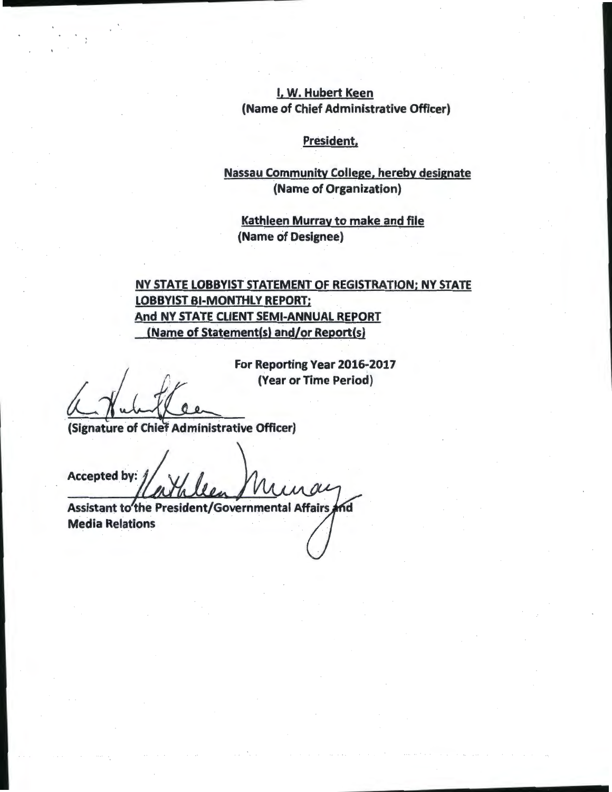## I, W. Hubert Keen (Name of Chief Administrative Officer)

#### President;

## Nassau Community College, hereby designate (Name of Organization)

Kathleen Murray to make and file (Name of Designee)

# NY STATE LOBBYIST STATEMENT OF REGISTRATION; NY STATE LOBBYIST BI-MONTHLY REPORT; And NY STATE CLIENT SEMI-ANNUAL REPORT (Name of Statement(s) and/or Report(s)

For Reporting Year 2016-2017 (Year or Time Period)

(Signature of Chief Administrative Officer)

Accepted by: Assistant to the President/Governmental Affairs

ńd Media Relations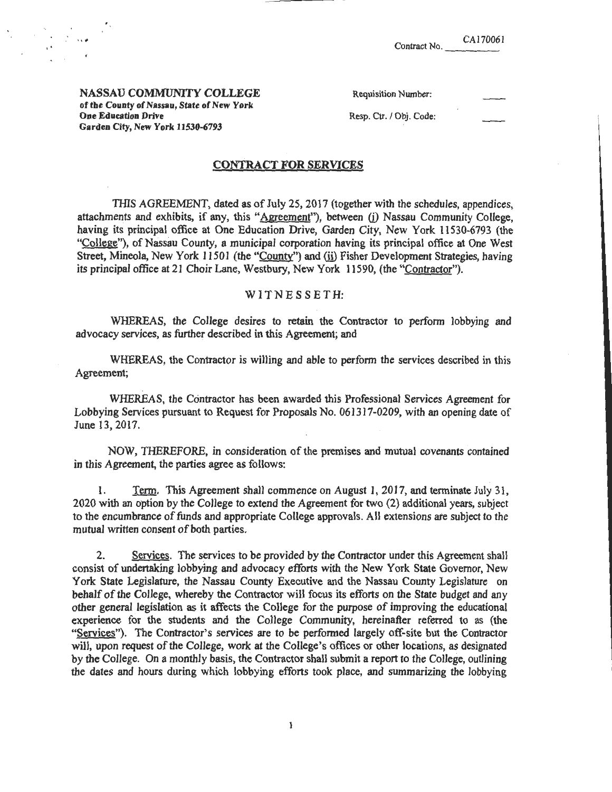| Contract No. | CA170061 |
|--------------|----------|
|              |          |

NASSAU COMMUNITY COLLEGE of the County of Nassau, State of New York One Education Drive Garden City, New York 11530-6793

,.

| Requisition Number: |  |
|---------------------|--|
|---------------------|--|

Resp. Ctr. / Obj. Code:

#### CONTRACT FOR SERVICES

THIS AGREEMENT, dated as of July 25, 2017 (together with the schedules, appendices, attachments and exhibits, if any, this "Agreement"), between (i) Nassau Community College, having its principal office at One Education Drive, Garden City, New York 11530-6793 (the "College"), of Nassau County, a municipal corporation having its principal office at One West Street, Mineola, New York 11501 (the "County") and (ii) Fisher Development Strategies, having its principal office at 21 Choir Lane, Westbury, New York 11590, (the "Contractor").

#### WIT N E S S E T H:

WHEREAS, the College desires to retain the Contractor to perform lobbying and advocacy services, as further described in this Agreement; and

WHEREAS, the Contractor is willing and able to perform the services described in this Agreement;

WHEREAS, the Contractor has been awarded this Professional Services Agreement for Lobbying Services pursuant to Request for Proposals No. 061317-0209, with an opening date of June 13, 2017.

NOW, THEREFORE, in consideration of the premises and mutual covenants contained in this Agreement, the parties agree as follows:

1. Term. This Agreement shall commence on August I, 2017, and terminate July 31 , 2020 with an option by the College to extend the Agreement for two (2) additional years, subject to the encumbrance of funds and appropriate College approvals. AJI extensions ate subject to the mutual written consent of both parties.

2. Services. The services to be provided by the Contractor under this Agreement shall consist of undertaking lobbying and advocacy efforts with the New York State Governor, New York State Legislature, the Nassau County Executive and the Nassau County Legislature on behalf of the College, whereby the Contractor will focus its efforts on the State budget and any other general legislation as it affects the College for the purpose of improving the educational experience for the students and the College Community, hereinafter referred to as (the "Services"). The Contractor's services are to be performed largely off-site but the Contractor will, upon request of the College, work at the College's offices or other locations, as designated by the College. On a monthly basis, the Contractor shall submit a report to the College, outlining the dates and hours during which lobbying efforts took place, and summarizing the lobbying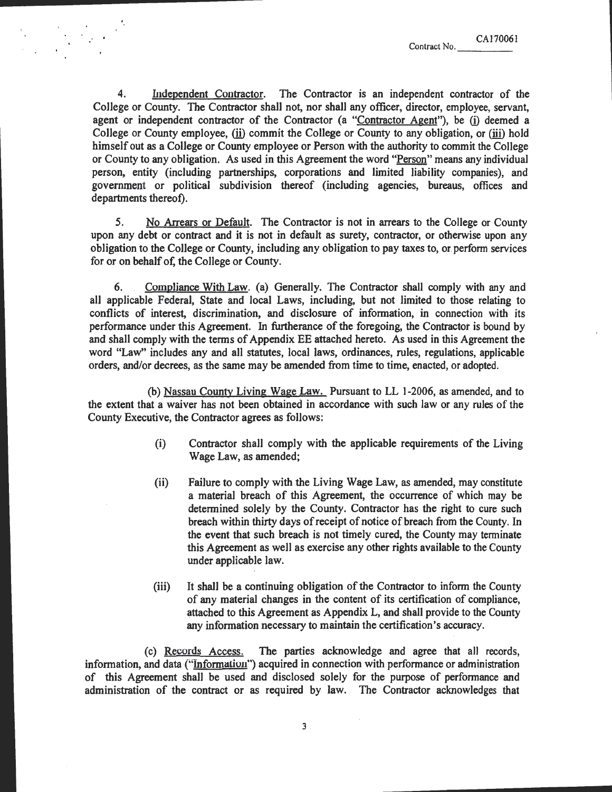CA170061<br>Contract No.

4. Independent Contractor. The Contractor is an independent contractor of the College or County. The Contractor shall not, nor shall any officer, director, employee, servant, agent or independent contractor of the Contractor (a "Contractor Agent"), be (i) deemed a College or County employee, (ii) commit the College or County to any obligation, or (iii) hold himself out as a College or County employee or Person with the authority to commit the College or County to any obligation. As used in this Agreement the word "Person" means any individual person, entity (including partnerships, corporations and limited liability companies), and government or political subdivision thereof (including agencies, bureaus, offices and departments thereof).

5. No Arrears or Default. The Contractor is not in arrears to the College or County upon any debt or contract and it is not in default as surety, contractor, or otherwise upon any obligation to the College or County, including any obligation to pay taxes to, or perfonn services for or on behalf of, the College or County.

6. . Compliance With Law. (a) Generally. The Contractor shall comply with any and all applicable Federal, State and local Laws, including, but not limited to those relating to conflicts of interest, discrimination, and disclosure of information, in connection with its performance under this Agreement. In furtherance of the foregoing, the Contractor is bound by and shall comply with the terms of Appendix EE attached hereto. As used in this Agreement the word "Law" includes any and all statutes, local laws, ordinances, rules, regulations, applicable orders, and/or decrees, as the same may be amended from time to time, enacted, or adopted.

(b) Nassau County Living Wage Law. Pursuant to LL 1-2006, as amended, and to the extent that a waiver has not been obtained in accordance with such law or any rules of the County Executive, the Contractor agrees as follows:

- (i) Contractor shall comply with the applicable requirements of the Living Wage Law, as amended;
- (ii) Failure to comply with the Living Wage Law, as amended, may constitute a material breach of this Agreement, the occurrence of which may be determined solely by the County. Contractor has the right to cure such breach within thirty days of receipt of notice of breach from the County. In the event that such breach is not timely cured, the County may terminate this Agreement as well as exercise any other rights available to the County under applicable law.
- (iii) It shall be a continuing obligation of the Contractor to inform the County of any material changes in the content of its certification of compliance, attached to this Agreement as Appendix L, and shall provide to the County any information necessary to maintain the certification's accuracy.

(c) Records Access. The parties acknowledge and agree that all records, information, and data ("Information") acquired in connection with performance or administration of this Agreement shall be used and disclosed solely for the purpose of performance and administration of the contract or as required by law. The Contractor acknowledges that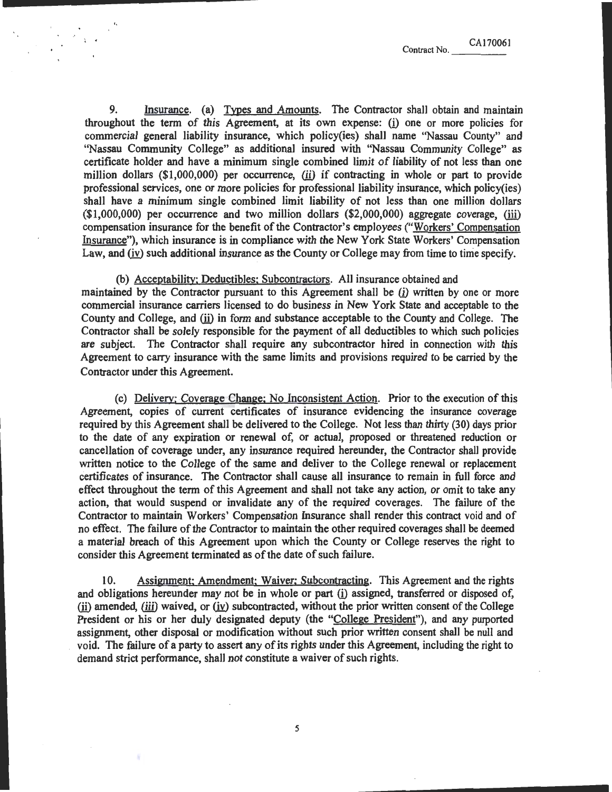9. Insurance. (a) Types and Amounts. The Contractor shall obtain and maintain throughout the term of this Agreement, at its own expense:  $(i)$  one or more policies for commercial general liability insurance, which policy(ies) shall name ''Nassau County" and ''Nassau Community College" as additional insured with ''Nassau Community College" as certificate holder and have a minimum single combined limit of liability of not less than one million dollars  $(\$1,000,000)$  per occurrence, (ii) if contracting in whole or part to provide professional services, one or more policies for professional liability insurance, which policy(ies) shall have a minimum single combined limit liability of not less than one million dollars  $(*1,000,000)$  per occurrence and two million dollars  $(*2,000,000)$  aggregate coverage, (iii) compensation insurance for the benefit of the Contractor's employees ("Workers' Compensation Insurance"), which insurance is in compliance with the New York State Workers' Compensation Law, and (iv) such additional insurance as the County or College may from time to time specify.

'·

(b) Acceptability; Deductibles; Subcontractors. All insurance obtained and maintained by the Contractor pursuant to this Agreement shall be (i) written by one or more commercial insurance carriers licensed to do business in New York State and acceptable to the County and College, and (ii) in form and substance acceptable to the County and College. The Contractor shall be solely responsible for the payment of all deductibles to which such policies are subject. The Contractor shall require any subcontractor hired in connection with this Agreement to carry insurance with the same limits and provisions required to be carried by the Contractor under this Agreement.

 $(c)$  Delivery; Coverage Change; No Inconsistent Action. Prior to the execution of this Agreement, copies of current certificates of insurance evidencing the insurance coverage required by this Agreement shall be delivered to the College. Not less than thirty (30) days prior to the date of any expiration or renewal of, or actual, proposed or threatened reduction or cancellation of coverage under, any insurance required hereunder, the Contractor shall provide written notice to the College of the same and deliver to the College renewal or replacement certificates of insurance. The Contractor shall cause all insurance to remain in full force and effect throughout the term of this Agreement and shall not take any action, or omit to take any action, that would suspend or invalidate any of the required coverages. The failure of the Contractor to maintain Workers' Compensation Insurance shall render this contract void and of no effect. The failure of the Contractor to maintain the other required coverages shall be deemed a material breach of this Agreement upon which the County or College reserves the right to consider this Agreement terminated as of the date of such failure.

10. Assignment; Amendment: Waiver: Subcontracting. This Agreement and the rights and obligations hereunder may not be in whole or part (i) assigned, transferred or disposed of, (ii) amended, (iii) waived, or  $(iy)$  subcontracted, without the prior written consent of the College President or his or her duly designated deputy (the "College President"), and any purported assignment, other disposal or modification without such prior written consent shall be null and void. The failure of a party to assert any of its rights under this Agreement, including the right to demand strict performance, shall not constitute a waiver of such rights.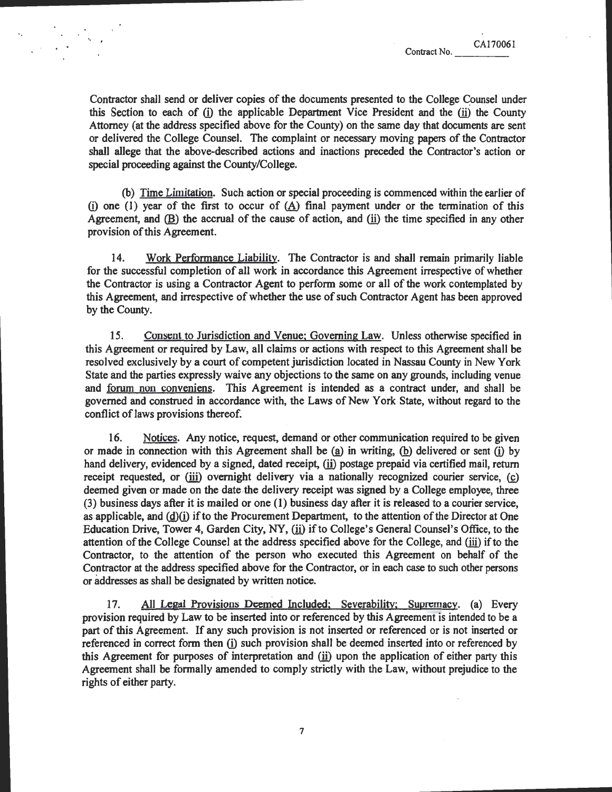Contractor shall send or deliver copies of the documents presented to the College Counsel under this Section to each of  $(i)$  the applicable Department Vice President and the  $(ii)$  the County Attorney (at the address specified above for the County) on the same day that documents are sent or delivered the College Counsel. The complaint or necessary moving papers of the Contractor shall allege that the above-described actions and inactions preceded the Contractor's action or special proceeding against the County/College.

(b) Time Limitation. Such action or special proceeding is commenced within the earlier of (i) one (1) year of the first to occur of  $(A)$  final payment under or the termination of this Agreement, and  $(B)$  the accrual of the cause of action, and  $(ii)$  the time specified in any other provision of this Agreement.

14. Work Performance Liability. The Contractor is and shall remain primarily liable for the successful completion of all work in accordance this Agreement irrespective of whether the Contractor is using a Contractor Agent to perform some or all of the work contemplated by this Agreement, and irrespective of whether the use of such Contractor Agent has been approved by the County.

15. Consent to Jurisdiction and Venue; Governing Law. Unless otherwise specified in this Agreement or required by Law, all claims or actions with respect to this Agreement shall be resolved exclusively by a court of competent jurisdiction located in Nassau County in New York State and the parties expressly waive any objections to the same on any grounds, including venue and forum non conveniens. This Agreement is intended as a contract under, and shall be governed and construed in accordance with, the Laws of New York State, without regard to the conflict of laws provisions thereof.

16. Notices. Any notice, request, demand or other communication required to be given or made in connection with this Agreement shall be  $(a)$  in writing,  $(b)$  delivered or sent  $(i)$  by hand delivery, evidenced by a signed, dated receipt, (ii) postage prepaid via certified mail, return receipt requested, or (iii) overnight delivery via a nationally recognized courier service, (c) deemed given or made on the date the delivery receipt was signed by a College employee, three (3) business days after it is mailed or one (1) business day after it is released to a courier service, as applicable, and  $(d)(i)$  if to the Procurement Department, to the attention of the Director at One Education Drive, Tower 4, Garden City, NY, (ii) if to College's General Counsel's Office, to the attention of the College Counsel at the address specified above for the College, and (iii) if to the Contractor, to the attention of the person who executed this Agreement on behalf of the Contractor at the address specified above for the Contractor, or in each case to such other persons or addresses as shall be designated by written notice.

17. All Legal Provisions Deemed Included; Severability; Supremacy. (a) Every provision required by Law to be inserted into or referenced by this Agreement is intended to be a part of this Agreement. If any such provision is not inserted or referenced or is not inserted or referenced in correct form then (i) such provision shall be deemed inserted into or referenced by this Agreement for purposes of interpretation and (ii) upon the application of either party this Agreement shall be formally amended to comply strictly with the Law, without prejudice to the rights of either party.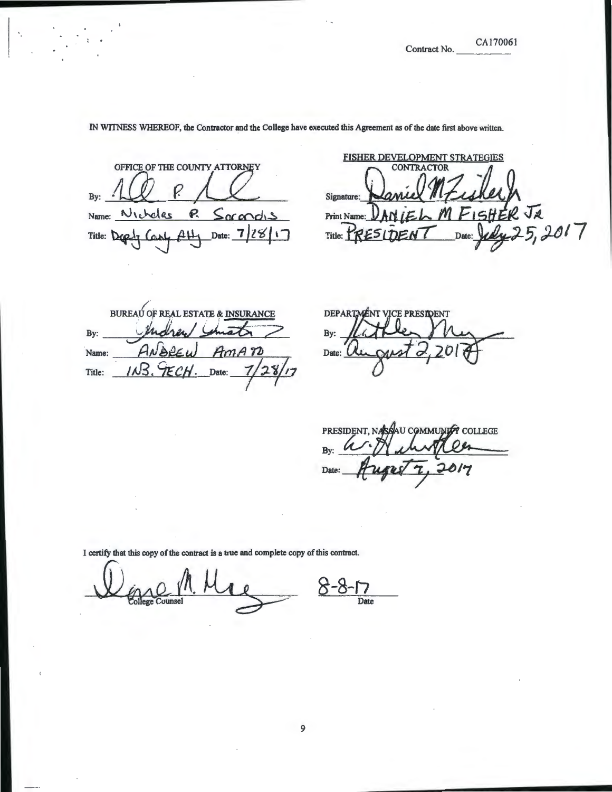CA170061

IN WTINESS WHEREOF, the Contractor and the College have executed this Agreement as of the date first above written.

OFFICE OF THE COUNTY ATTORNEY Name: Nicheles P. Socandis

FISHER DEVELOPMENT STRATEGIES By: New P. New Signature: Naniel MFushell<br>Name: Nicholas P. Socordis Print Name: DANIEL M FISHER JR<br>Title: Deply Conf Atty Date: 7/28/17 Title: PRESIDENT Date: Judy 25, 2  $P$ rint Name:  $DAN$ <br>Title: PRESIDENT Date:  $Ld_{4}25, 2017$ 

BUREAU OF REAL ESTATE & INSURANCE Indrew By: ImAN Name:  $1.43$ ECH Date: Title:

DEPARTMENT VICE PRESIDENT By: Date: U

PRESIDENT, NASAN COMMUNITY COLLEGE By: 017 Date:

Date

9

I certify that this copy of the contract is a true and complete copy of this contract.

 $8 - 8 -$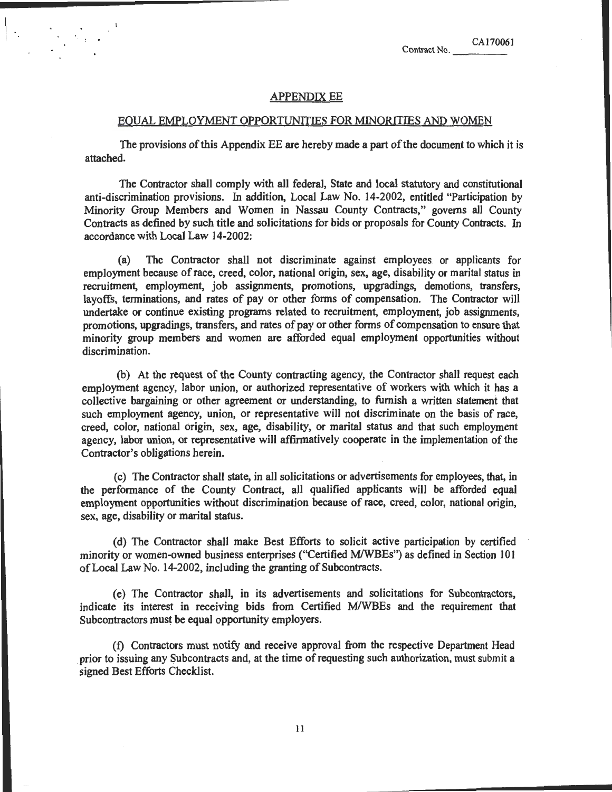#### APPENDIX EE

#### EQUAL EMPLOYMENT OPPORTUNITIES FOR MINORITIES AND WOMEN

The provisions of this Appendix EE are hereby made a part of the document to which it is attached.

The Contractor shall comply with all federal, State and local statutory and constitutional anti-discrimination provisions. In addition, Local Law No. 14-2002, entitled "Participation by Minority Group Members and Women in Nassau County Contracts," governs all County Contracts as defined by such title and solicitations for bids or proposals for County Contracts. In accordance with Local Law 14-2002:

(a) The Contractor shall not discriminate against employees or applicants for employment because of race, creed, color, national origin, sex, age, disability or marital status in recruitment, employment, job assignments, promotions, upgradings, demotions, transfers, layoffs, terminations, and rates of pay or other forms of compensation. The Contractor will undertake or continue existing programs related to recruitment, employment, job assignments, promotions, upgradings, transfers, and rates of pay or other forms of compensation to ensure that minority group members and women are afforded equal employment opportunities without discrimination.

(b) At the request of the County contracting agency, the Contractor shall request each employment agency, labor union, or authorized representative of workers with which it has a collective bargaining or other agreement or understanding, to furnish a written statement that such employment agency, union, or representative will not discriminate on the basis of race, creed, color, national origin, sex, age, disability, or marital status and that such employment agency, labor union, or representative will affirmatively cooperate in the implementation of the Contractor's obligations herein.

(c) The Contractor shall state, in all solicitations or advertisements for employees, that, in the performance of the County Contract, all qualified applicants will be afforded equal employment opportunities without discrimination because of race, creed, color, national origin, sex, age, disability or marital status.

(d) The Contractor shall make Best Efforts to solicit active participation by certified minority or women-owned business enterprises ("Certified M/WBEs") as defined in Section 101 of Local Law No. 14-2002, including the granting of Subcontracts.

(e) The Contractor shall, in its advertisements and solicitations for Subcontractors, indicate its interest in receiving bids from Certified M/WBEs and the requirement that Subcontractors must be equal opportunity employers.

(f) Contractors must notify and receive approval from the respective Department Head . prior to issuing any Subcontracts and, at the time of requesting such authorization, must submit a signed Best Efforts Checklist.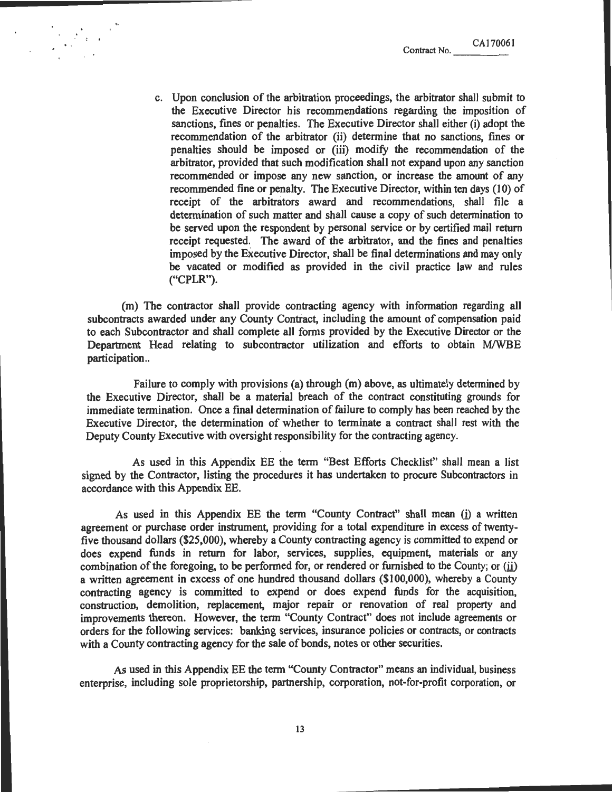c. Upon conclusion of the arbitration proceedings, the arbitrator shall submit to the Executive Director his recommendations regarding the imposition of sanctions, fines or penalties. The Executive Director shall either (i) adopt the recommendation of the arbitrator (ii) determine that no sanctions, fines or penalties should be imposed or (iii) modify the recommendation of the arbitrator, provided that such modification shall not expand upon any sanction recommended or impose any new sanction, or increase the amount of any recommended fine or penalty. The Executive Director, within ten days (10) of receipt of the arbitrators award and recommendations, shall file a determination of such matter and shall cause a copy of such determination to be served upon the respondent by personal service or by certified mail return receipt requested. The award of the arbitrator, and the fines and penalties imposed by the Executive Director, shall be final determinations and may only be vacated or modified as provided in the civil practice law and rules ("CPLR").

(m) The contractor shall provide contracting agency with information regarding all subcontracts awarded under any County Contract, including the amount of compensation paid to each Subcontractor and shall complete all forms provided by the Executive Director or the Department Head relating to subcontractor utilization and efforts to obtain M/WBE participation..

Failure to comply with provisions (a) through (m) above, as ultimately determined by the Executive Director, shall be a material breach of the contract constituting grounds for immediate termination. Once a final determination of failure to comply has been reached by the Executive Director, the determination of whether to terminate a contract shall rest with the Deputy County Executive with oversight responsibility for the contracting agency.

As used in this Appendix EE the term "Best Efforts Checklist" shall mean a list signed by the Contractor, listing the procedures it has undertaken to procure Subcontractors in accordance with this Appendix EE.

As used in this Appendix EE the term "County Contract" shall mean (i) a written agreement or purchase order instrument, providing for a total expenditure in excess of twentyfive thousand dollars (\$25,000), whereby a County contracting agency is committed to expend or does expend funds in return for labor, services, supplies, equipment, materials or any combination of the foregoing, to be performed for, or rendered or furnished to the County; or (ii) a written agreement in excess of one hundred thousand dollars (\$100,000), whereby a County contracting agency is committed to expend or does expend funds for the acquisition, construction, demolition, replacement, major repair or renovation of real property and improvements thereon. However, the term "County Contract" does not include agreements or orders for the following services: banking services, insurance policies or contracts, or contracts with a County contracting agency for the sale of bonds, notes or other securities.

As used in this Appendix EE the term "County Contractor" means an individual, business enterprise, including sole proprietorship, partnership, corporation, not-for-profit corporation, or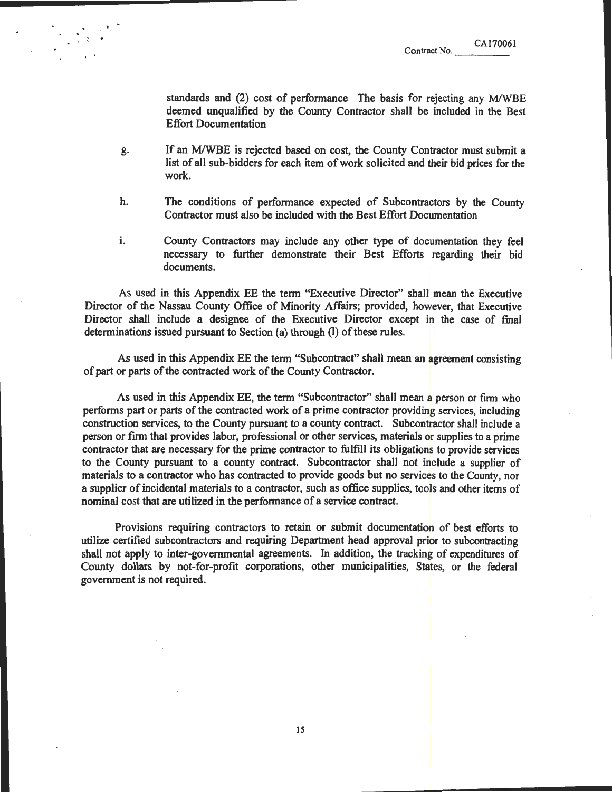standards and  $(2)$  cost of performance The basis for rejecting any M/WBE deemed unqualified by the County Contractor shall be included in the Best Effort Documentation

g. If an MIWBE is rejected based on cost, the County Contractor must submit a list of all sub-bidders for each item of work solicited and their bid prices for the work.

..

- h. The conditions of performance expected of Subcontractors by the County Contractor must also be included with the Best Effort Documentation
- i. County Contractors may include any other type of documentation they feel necessary to further demonstrate their Best Efforts regarding their bid documents.

As used in this Appendix EE the term "Executive Director" shall mean the Executive Director of the Nassau County Office of Minority Affairs; provided, however, that Executive Director shall include a designee of the Executive Director except in the case of final determinations issued pursuant to Section (a) through (I) of these rules.

As used in this Appendix EE the term "Subcontract" shall mean an agreement consisting of part or parts of the contracted work of the County Contractor.

As used in this Appendix EE, the term "Subcontractor" shall mean a person or firm who performs part or parts of the contracted work of a prime contractor providing services, including construction services, to the County pursuant to a county contract. Subcontractor shall include a person or firm that provides labor, professional or other services, materials or supplies to a prime contractor that are necessary for the prime contractor to fulfill its obligations to provide services to the County pursuant to a county contract. Subcontractor shall not include a supplier of materials to a contractor who has contracted to provide goods but no services to the County, nor a supplier of incidental materials to a contractor, such as office supplies, tools and other items of nominal cost that are utilized in the performance of a service contract.

Provisions requiring contractors to retain or submit documentation of best efforts to utilize certified subcontractors and requiring Department head approval prior to subcontracting shall not apply to inter-governmental agreements. In addition, the tracking of expenditures of County dollars by not-for-profit corporations, other municipalities, States, or the federal government is not required.